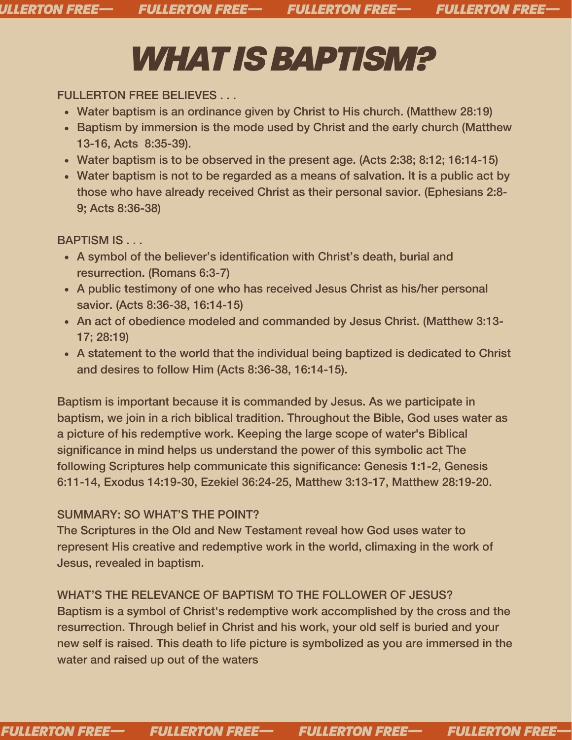## *WHATISBAPTISM?*

FULLERTON FREE BELIEVES . . .

- Water baptism is an ordinance given by Christ to His church. (Matthew 28:19)
- Baptism by immersion is the mode used by Christ and the early church (Matthew 13-16, Acts 8:35-39).
- Water baptism is to be observed in the present age. (Acts 2:38; 8:12; 16:14-15)
- Water baptism is not to be regarded as a means of salvation. It is a public act by those who have already received Christ as their personal savior. (Ephesians 2:8- 9; Acts 8:36-38)

BAPTISM IS . . .

- A symbol of the believer's identification with Christ's death, burial and resurrection. (Romans 6:3-7)
- A public testimony of one who has received Jesus Christ as his/her personal savior. (Acts 8:36-38, 16:14-15)
- An act of obedience modeled and commanded by Jesus Christ. (Matthew 3:13- 17; 28:19)
- A statement to the world that the individual being baptized is dedicated to Christ and desires to follow Him (Acts 8:36-38, 16:14-15).

Baptism is important because it is commanded by Jesus. As we participate in baptism, we join in a rich biblical tradition. Throughout the Bible, God uses water as a picture of his redemptive work. Keeping the large scope of water's Biblical significance in mind helps us understand the power of this symbolic act The following Scriptures help communicate this significance: Genesis 1:1-2, Genesis 6:11-14, Exodus 14:19-30, Ezekiel 36:24-25, Matthew 3:13-17, Matthew 28:19-20.

## SUMMARY: SO WHAT'S THE POINT?

The Scriptures in the Old and New Testament reveal how God uses water to represent His creative and redemptive work in the world, climaxing in the work of Jesus, revealed in baptism.

WHAT'S THE RELEVANCE OF BAPTISM TO THE FOLLOWER OF JESUS? Baptism is a symbol of Christ's redemptive work accomplished by the cross and the resurrection. Through belief in Christ and his work, your old self is buried and your new self is raised. This death to life picture is symbolized as you are immersed in the water and raised up out of the waters